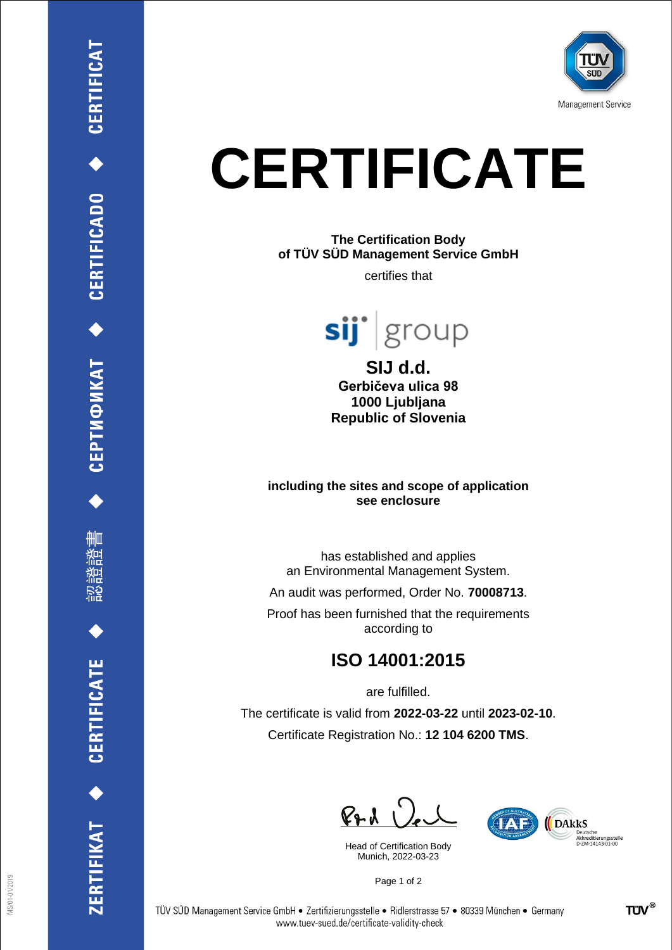

# **CERTIFICATE**

#### **The Certification Body of TÜV SÜD Management Service GmbH**

certifies that



**SIJ d.d. Gerbičeva ulica 98 1000 Ljubljana Republic of Slovenia**

#### **including the sites and scope of application see enclosure**

has established and applies an Environmental Management System.

An audit was performed, Order No. **70008713**.

Proof has been furnished that the requirements according to

## **ISO 14001:2015**

are fulfilled.

The certificate is valid from **2022-03-22** until **2023-02-10**. Certificate Registration No.: **12 104 6200 TMS**.

 $P + 1$ 

Head of Certification Body Munich, 2022-03-23



Page 1 of 2

CEPTИФИКАТ ◆ CERTIFICADO ◆ CERTIFICAT

ĦШ

**CERTIFICATE** 

ERTIFIKAT<sup>+</sup>